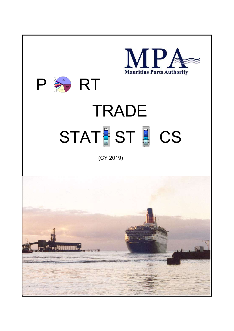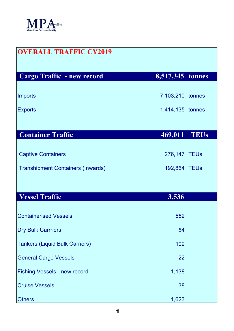

| <b>OVERALL TRAFFIC CY2019</b>            |                  |  |
|------------------------------------------|------------------|--|
| Cargo Traffic - new record               | 8,517,345 tonnes |  |
| <b>Imports</b>                           | 7,103,210 tonnes |  |
| <b>Exports</b>                           | 1,414,135 tonnes |  |
|                                          |                  |  |
| <b>Container Traffic</b>                 | 469,011 TEUs     |  |
| <b>Captive Containers</b>                | 276,147 TEUs     |  |
| <b>Transhipment Containers (Inwards)</b> | 192,864 TEUs     |  |
|                                          |                  |  |
| <b>Vessel Traffic</b>                    | 3,536            |  |
| <b>Containerised Vessels</b>             | 552              |  |
| <b>Dry Bulk Carrriers</b>                | 54               |  |
| <b>Tankers (Liquid Bulk Carriers)</b>    | 109              |  |
| <b>General Cargo Vessels</b>             | 22               |  |
| <b>Fishing Vessels - new record</b>      | 1,138            |  |
| <b>Cruise Vessels</b>                    | 38               |  |
| <b>Others</b>                            | 1,623            |  |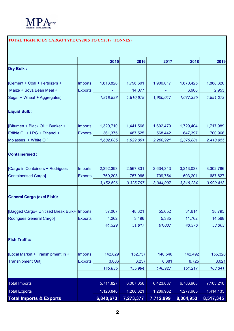

## TOTAL TRAFFIC BY CARGO TYPE CY2015 TO CY2019 (TONNES)

|                                               |                | 2015        | 2016      | 2017      | 2018      | 2019      |
|-----------------------------------------------|----------------|-------------|-----------|-----------|-----------|-----------|
| <b>Dry Bulk:</b>                              |                |             |           |           |           |           |
|                                               |                |             |           |           |           |           |
| [Cement + Coal + Fertilizers +                | Imports        | 1,818,828   | 1,796,601 | 1,900,017 | 1,670,425 | 1,888,320 |
| Maize + Soya Bean Meal +                      | <b>Exports</b> |             | 14,077    |           | 6,900     | 2,953     |
| Sugar + Wheat + Aggregates]                   |                | 1,818,828   | 1,810,678 | 1,900,017 | 1,677,325 | 1,891,273 |
| <b>Liquid Bulk:</b>                           |                |             |           |           |           |           |
| [Bitumen + Black Oil + Bunker +               | <b>Imports</b> | 1,320,710   | 1,441,566 | 1,692,479 | 1,729,404 | 1,717,989 |
| Edible Oil + LPG + Ethanol +                  | <b>Exports</b> | 361,375     | 487,525   | 568,442   | 647,397   | 700,966   |
| Molasses + White Oil]                         |                | 1,682,085   | 1,929,091 | 2,260,921 | 2,376,801 | 2,418,955 |
| <b>Containerised:</b>                         |                |             |           |           |           |           |
| [Cargo in Containers + Rodrigues'             | <b>Imports</b> | 2,392,393   | 2,567,831 | 2,634,343 | 3,213,033 | 3,302,786 |
| <b>Containerised Cargo]</b>                   | <b>Exports</b> | 760,203     | 757,966   | 709,754   | 603,201   | 687,627   |
|                                               |                | 3, 152, 596 | 3,325,797 | 3,344,097 | 3,816,234 | 3,990,413 |
| <b>General Cargo (excl Fish):</b>             |                |             |           |           |           |           |
| [Bagged Cargo+ Unitised Break Bulk+   Imports |                | 37,067      | 48,321    | 55,652    | 31,614    | 38,795    |
| Rodrigues General Cargo]                      | <b>Exports</b> | 4,262       | 3,496     | 5,385     | 11,762    | 14,568    |
|                                               |                | 41,329      | 51,817    | 61,037    | 43,376    | 53,363    |
| <b>Fish Traffic:</b>                          |                |             |           |           |           |           |
| [Local Market + Transhipment In +             | Imports        | 142,829     | 152,737   | 140,546   | 142,492   | 155,320   |
| <b>Transhipment Out]</b>                      | <b>Exports</b> | 3,006       | 3,257     | 6,381     | 8,725     | 8,021     |
|                                               |                | 145,835     | 155,994   | 146,927   | 151,217   | 163,341   |
|                                               |                |             |           |           |           |           |
| <b>Total Imports</b>                          |                | 5,711,827   | 6,007,056 | 6,423,037 | 6,786,968 | 7,103,210 |
| <b>Total Exports</b>                          |                | 1,128,846   | 1,266,321 | 1,289,962 | 1,277,985 | 1,414,135 |
| <b>Total Imports &amp; Exports</b>            |                | 6,840,673   | 7,273,377 | 7,712,999 | 8,064,953 | 8,517,345 |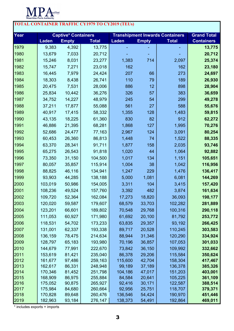

| <b>TOTAL CONTAINER TRAFFIC CY1979 TO CY2019 (TEUs)</b> |                            |                  |                    |                                        |                  |                    |                    |  |  |
|--------------------------------------------------------|----------------------------|------------------|--------------------|----------------------------------------|------------------|--------------------|--------------------|--|--|
| Year                                                   | <b>Captive* Containers</b> |                  |                    | <b>Transhipment Inwards Containers</b> |                  |                    | <b>Grand Total</b> |  |  |
|                                                        | <b>Laden</b>               | <b>Empty</b>     | <b>Total</b>       | <b>Laden</b>                           | <b>Empty</b>     | <b>Total</b>       | <b>Containers</b>  |  |  |
| 1979                                                   | 9,383                      | 4,392            | 13,775             |                                        |                  |                    | 13,775             |  |  |
| 1980                                                   | 13,679                     | 7,033            | 20,712             |                                        |                  |                    | 20,712             |  |  |
| 1981                                                   | 15,246                     | 8,031            | 23,277             | 1,383                                  | 714              | 2,097              | 25,374             |  |  |
| 1982                                                   | 15,747                     | 7,271            | 23,018             | 162                                    |                  | 162                | 23,180             |  |  |
| 1983                                                   | 16,445                     | 7,979            | 24,424             | 207                                    | 66               | 273                | 24,697             |  |  |
| 1984                                                   | 18,303                     | 8,438            | 26,741             | 110                                    | 79               | 189                | 26,930             |  |  |
| 1985                                                   | 20,475                     | 7,531            | 28,006             | 886                                    | 12               | 898                | 28,904             |  |  |
| 1986                                                   | 25,834                     | 10,442           | 36,276             | 326                                    | 57               | 383                | 36,659             |  |  |
| 1987                                                   | 34,752                     | 14,227           | 48,979             | 245                                    | 54               | 299                | 49,278             |  |  |
| 1988                                                   | 37,211                     | 17,877           | 55,088             | 561                                    | 27               | 588                | 55,676             |  |  |
| 1989                                                   | 40,917                     | 17,415           | 58,332             | 1,355                                  | 128              | 1,483              | 59,815             |  |  |
| 1990                                                   | 43,135                     | 18,225           | 61,360             | 830                                    | 82               | 912                | 62,272             |  |  |
| 1991                                                   | 46,886                     | 21,395           | 68,281             | 1,868                                  | 127              | 1,995              | 70,276             |  |  |
| 1992                                                   | 52,686                     | 24,477           | 77,163             | 2,967                                  | 124              | 3,091              | 80,254             |  |  |
| 1993                                                   | 60,453                     | 26,360           | 86,813             | 1,448                                  | 74               | 1,522              | 88,335             |  |  |
| 1994                                                   | 63,370                     | 28,341           | 91,711             | 1,877                                  | 158              | 2,035              | 93,746             |  |  |
| 1995                                                   | 65,275                     | 26,543           | 91,818             | 1,020                                  | 44               | 1,064              | 92,882             |  |  |
| 1996                                                   | 73,350                     | 31,150           | 104,500            | 1,017                                  | 134              | 1,151              | 105,651            |  |  |
| 1997                                                   | 80,057                     | 35,857           | 115,914            | 1,004                                  | 38               | 1,042              | 116,956            |  |  |
| 1998                                                   | 88,825                     | 46,116           | 134,941            | 1,247                                  | 229              | 1,476              | 136,417            |  |  |
| 1999                                                   | 93,903                     | 44,285           | 138,188            | 5,000                                  | 1,081            | 6,081              | 144,269            |  |  |
| 2000                                                   | 103,019                    | 50,986           | 154,005            | 3,311                                  | 104              | 3,415              | 157,420            |  |  |
| 2001                                                   | 108,236                    | 49,524           | 157,760            | 3,392                                  | 482              | 3,874              | 161,634            |  |  |
| 2002                                                   | 109,720                    | 52,364           | 162,084            | 17,273                                 | 18,820           | 36,093             | 198,177            |  |  |
| 2003                                                   | 120,020                    | 59,587           | 179,607            | 68,579                                 | 33,703           | 102,282            | 281,889            |  |  |
| 2004                                                   | 123,201                    | 66,601           | 189,802            | 70,548                                 | 29,768           | 100,316            | 290,118            |  |  |
| 2005                                                   | 111,053                    | 60,927           | 171,980            | 61,692                                 | 20,100           | 81,792             | 253,772            |  |  |
| 2006                                                   | 118,531                    | 54,702           | 173,233            | 63,835                                 | 29,357           | 93,192             | 266,425            |  |  |
| 2007                                                   | 131,001                    | 62,337           | 193,338            | 89,717                                 | 20,528           | 110,245            | 303,583            |  |  |
| 2008                                                   | 136,159                    | 78,475           | 214,634            | 88,944                                 | 31,346           | 120,290            | 334,924            |  |  |
| 2009                                                   | 128,797                    | 65,183           | 193,980            | 70,196                                 | 36,857           | 107,053            | 301,033            |  |  |
| 2010                                                   | 144,679                    | 77,991           | 222,670            | 73,842                                 | 36,150           | 109,992            | 332,662            |  |  |
| 2011                                                   | 153,619                    | 81,421           | 235,040            | 86,378                                 | 29,206           | 115,584            | 350,624            |  |  |
| 2012                                                   | 161,677                    | 97,486           | 259,163            | 115,600                                | 42,704           | 158,304            | 417,467            |  |  |
| 2013                                                   | 162,617                    | 86,331           | 248,948            | 99,189                                 | 37,189           | 136,378            | 385,326            |  |  |
| 2014                                                   | 170,346                    | 81,452           | 251,798            | 104,186                                | 47,017           | 151,203            | 403,001            |  |  |
| 2015<br>2016                                           | 168,909<br>175,052         | 86,975<br>90,875 | 255,884<br>265,927 | 84,584<br>92,416                       | 20,641<br>30,171 | 105,225<br>122,587 | 361,109<br>388,514 |  |  |
| 2017                                                   | 175,984                    | 84,680           | 260,664            | 92,956                                 | 25,751           | 118,707            | 379,371            |  |  |
| 2018                                                   | 170,828                    | 89,648           | 260,476            | 136,546                                | 54,424           | 190,970            | 451,446            |  |  |
| 2019                                                   | 182,963                    | 93,184           | 276,147            | 138,373                                | 54,491           | 192,864            | 469,011            |  |  |

\* includes exports + imports